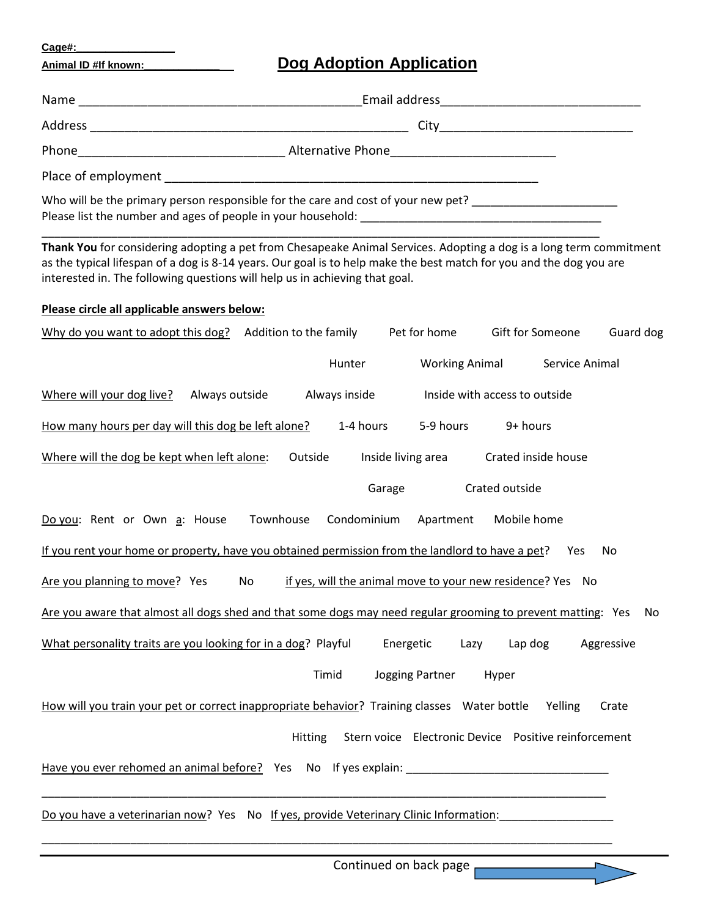**Cage#:\_\_\_\_\_\_\_\_\_\_\_\_\_\_\_\_\_**

## **Animal ID #If known:\_\_\_\_\_\_\_\_\_\_\_\_\_ Dog Adoption Application**

| <u>Animai ID #If Known:_</u><br><u>Doğ Adoption Application</u>                                                                                                                                                                                                                                                          |
|--------------------------------------------------------------------------------------------------------------------------------------------------------------------------------------------------------------------------------------------------------------------------------------------------------------------------|
|                                                                                                                                                                                                                                                                                                                          |
|                                                                                                                                                                                                                                                                                                                          |
|                                                                                                                                                                                                                                                                                                                          |
|                                                                                                                                                                                                                                                                                                                          |
| Who will be the primary person responsible for the care and cost of your new pet? ____________________________                                                                                                                                                                                                           |
| Thank You for considering adopting a pet from Chesapeake Animal Services. Adopting a dog is a long term commitment<br>as the typical lifespan of a dog is 8-14 years. Our goal is to help make the best match for you and the dog you are<br>interested in. The following questions will help us in achieving that goal. |
| Please circle all applicable answers below:                                                                                                                                                                                                                                                                              |
| Why do you want to adopt this dog? Addition to the family Pet for home<br>Gift for Someone<br>Guard dog                                                                                                                                                                                                                  |
| <b>Working Animal</b><br>Hunter<br>Service Animal                                                                                                                                                                                                                                                                        |
| Where will your dog live? Always outside<br>Always inside<br>Inside with access to outside                                                                                                                                                                                                                               |
| 5-9 hours<br>How many hours per day will this dog be left alone?<br>1-4 hours<br>9+ hours                                                                                                                                                                                                                                |
| Where will the dog be kept when left alone:<br>Outside<br>Inside living area<br>Crated inside house                                                                                                                                                                                                                      |
| Crated outside<br>Garage                                                                                                                                                                                                                                                                                                 |
| Townhouse<br>Condominium Apartment<br>Do you: Rent or Own a: House<br>Mobile home                                                                                                                                                                                                                                        |
| If you rent your home or property, have you obtained permission from the landlord to have a pet? Yes<br>No                                                                                                                                                                                                               |
| Are you planning to move? Yes No if yes, will the animal move to your new residence? Yes No                                                                                                                                                                                                                              |
| Are you aware that almost all dogs shed and that some dogs may need regular grooming to prevent matting: Yes<br>No                                                                                                                                                                                                       |
| What personality traits are you looking for in a dog? Playful<br>Energetic<br>Lap dog<br>Aggressive<br>Lazy                                                                                                                                                                                                              |
| Timid<br>Jogging Partner<br>Hyper                                                                                                                                                                                                                                                                                        |
| How will you train your pet or correct inappropriate behavior? Training classes Water bottle<br>Yelling<br>Crate                                                                                                                                                                                                         |

Hitting Stern voice Electronic Device Positive reinforcement

Have you ever rehomed an animal before? Yes No If yes explain: \_\_\_\_\_\_\_\_\_\_\_\_\_\_\_\_\_\_\_\_\_\_\_\_\_\_\_\_\_\_\_\_

Do you have a veterinarian now? Yes No If yes, provide Veterinary Clinic Information:

\_\_\_\_\_\_\_\_\_\_\_\_\_\_\_\_\_\_\_\_\_\_\_\_\_\_\_\_\_\_\_\_\_\_\_\_\_\_\_\_\_\_\_\_\_\_\_\_\_\_\_\_\_\_\_\_\_\_\_\_\_\_\_\_\_\_\_\_\_\_\_\_\_\_\_\_\_\_\_\_\_\_\_\_\_\_\_\_\_

\_\_\_\_\_\_\_\_\_\_\_\_\_\_\_\_\_\_\_\_\_\_\_\_\_\_\_\_\_\_\_\_\_\_\_\_\_\_\_\_\_\_\_\_\_\_\_\_\_\_\_\_\_\_\_\_\_\_\_\_\_\_\_\_\_\_\_\_\_\_\_\_\_\_\_\_\_\_\_\_\_\_\_\_\_\_\_\_\_\_